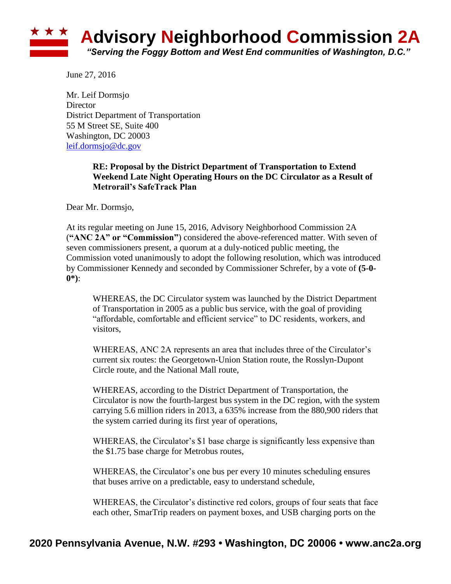

June 27, 2016

Mr. Leif Dormsjo **Director** District Department of Transportation 55 M Street SE, Suite 400 Washington, DC 20003 [leif.dormsjo@dc.gov](mailto:leif.dormsjo@dc.gov)

## **RE: Proposal by the District Department of Transportation to Extend Weekend Late Night Operating Hours on the DC Circulator as a Result of Metrorail's SafeTrack Plan**

Dear Mr. Dormsjo,

At its regular meeting on June 15, 2016, Advisory Neighborhood Commission 2A (**"ANC 2A" or "Commission"**) considered the above-referenced matter. With seven of seven commissioners present, a quorum at a duly-noticed public meeting, the Commission voted unanimously to adopt the following resolution, which was introduced by Commissioner Kennedy and seconded by Commissioner Schrefer, by a vote of **(5-0- 0\*)**:

WHEREAS, the DC Circulator system was launched by the District Department of Transportation in 2005 as a public bus service, with the goal of providing "affordable, comfortable and efficient service" to DC residents, workers, and visitors,

WHEREAS, ANC 2A represents an area that includes three of the Circulator's current six routes: the Georgetown-Union Station route, the Rosslyn-Dupont Circle route, and the National Mall route,

WHEREAS, according to the District Department of Transportation, the Circulator is now the fourth-largest bus system in the DC region, with the system carrying 5.6 million riders in 2013, a 635% increase from the 880,900 riders that the system carried during its first year of operations,

WHEREAS, the Circulator's \$1 base charge is significantly less expensive than the \$1.75 base charge for Metrobus routes,

WHEREAS, the Circulator's one bus per every 10 minutes scheduling ensures that buses arrive on a predictable, easy to understand schedule,

WHEREAS, the Circulator's distinctive red colors, groups of four seats that face each other, SmarTrip readers on payment boxes, and USB charging ports on the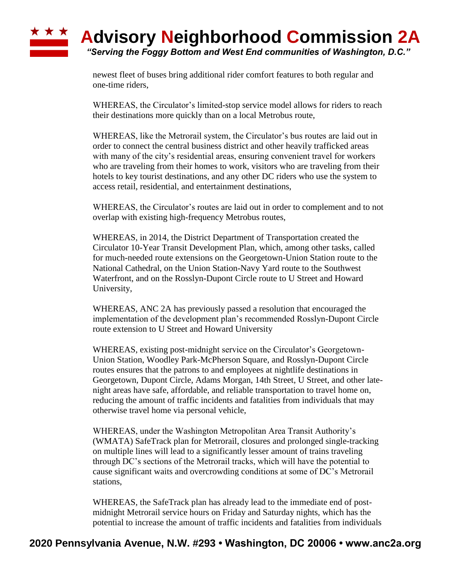## ★ ★ ★ **Advisory Neighborhood Commission 2A** *"Serving the Foggy Bottom and West End communities of Washington, D.C."*

newest fleet of buses bring additional rider comfort features to both regular and one-time riders,

WHEREAS, the Circulator's limited-stop service model allows for riders to reach their destinations more quickly than on a local Metrobus route,

WHEREAS, like the Metrorail system, the Circulator's bus routes are laid out in order to connect the central business district and other heavily trafficked areas with many of the city's residential areas, ensuring convenient travel for workers who are traveling from their homes to work, visitors who are traveling from their hotels to key tourist destinations, and any other DC riders who use the system to access retail, residential, and entertainment destinations,

WHEREAS, the Circulator's routes are laid out in order to complement and to not overlap with existing high-frequency Metrobus routes,

WHEREAS, in 2014, the District Department of Transportation created the Circulator 10-Year Transit Development Plan, which, among other tasks, called for much-needed route extensions on the Georgetown-Union Station route to the National Cathedral, on the Union Station-Navy Yard route to the Southwest Waterfront, and on the Rosslyn-Dupont Circle route to U Street and Howard University,

WHEREAS, ANC 2A has previously passed a resolution that encouraged the implementation of the development plan's recommended Rosslyn-Dupont Circle route extension to U Street and Howard University

WHEREAS, existing post-midnight service on the Circulator's Georgetown-Union Station, Woodley Park-McPherson Square, and Rosslyn-Dupont Circle routes ensures that the patrons to and employees at nightlife destinations in Georgetown, Dupont Circle, Adams Morgan, 14th Street, U Street, and other latenight areas have safe, affordable, and reliable transportation to travel home on, reducing the amount of traffic incidents and fatalities from individuals that may otherwise travel home via personal vehicle,

WHEREAS, under the Washington Metropolitan Area Transit Authority's (WMATA) SafeTrack plan for Metrorail, closures and prolonged single-tracking on multiple lines will lead to a significantly lesser amount of trains traveling through DC's sections of the Metrorail tracks, which will have the potential to cause significant waits and overcrowding conditions at some of DC's Metrorail stations,

WHEREAS, the SafeTrack plan has already lead to the immediate end of postmidnight Metrorail service hours on Friday and Saturday nights, which has the potential to increase the amount of traffic incidents and fatalities from individuals

## **2020 Pennsylvania Avenue, N.W. #293 • Washington, DC 20006 • www.anc2a.org**